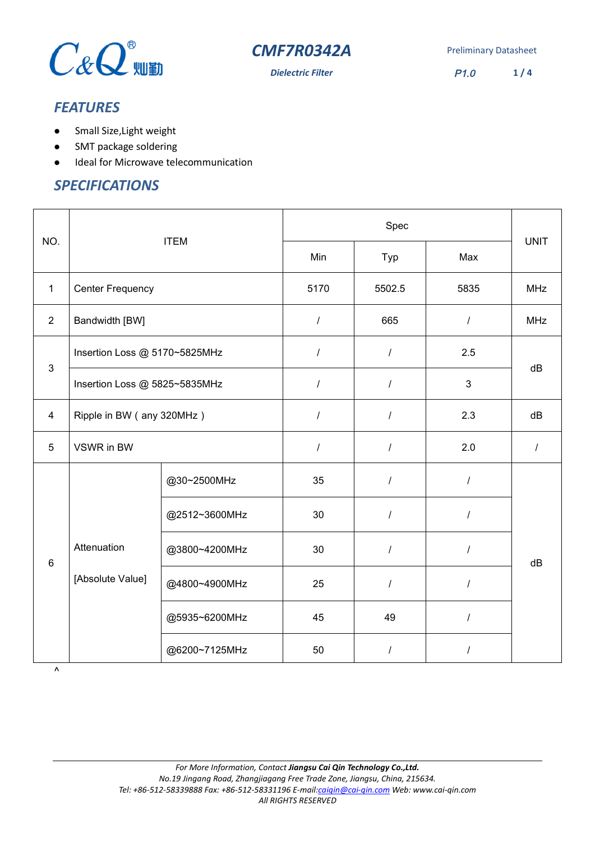

**Dielectric Filter** P1.0 **1/4** 

# *FEATURES*

- Small Size, Light weight
- SMT package soldering
- $\bullet$  Ideal for Microwave telecommunication

### *SPECIFICATIONS*

| NO.            | <b>ITEM</b>                   |               | Spec             |                  |                | <b>UNIT</b> |
|----------------|-------------------------------|---------------|------------------|------------------|----------------|-------------|
|                |                               |               | Min              | Typ              | Max            |             |
| $\mathbf{1}$   | <b>Center Frequency</b>       |               | 5170             | 5502.5           | 5835           | <b>MHz</b>  |
| $\overline{2}$ | Bandwidth [BW]                |               | $\overline{I}$   | 665              | $\prime$       | <b>MHz</b>  |
| $\mathbf{3}$   | Insertion Loss @ 5170~5825MHz |               | $\boldsymbol{I}$ | $\overline{I}$   | 2.5            | dB          |
|                | Insertion Loss @ 5825~5835MHz |               | $\prime$         | $\sqrt{2}$       | 3              |             |
| $\overline{4}$ | Ripple in BW (any 320MHz)     |               | $\overline{I}$   | $\prime$         | 2.3            | dB          |
| 5              | VSWR in BW                    |               | $\boldsymbol{I}$ | $\prime$         | 2.0            | $\prime$    |
| $6\phantom{1}$ |                               | @30~2500MHz   | 35               | $\boldsymbol{I}$ | $\overline{I}$ |             |
|                |                               | @2512~3600MHz | 30               | $\sqrt{2}$       |                |             |
|                | Attenuation                   | @3800~4200MHz | 30               | $\prime$         | $\prime$       | dB          |
|                | [Absolute Value]              | @4800~4900MHz | 25               | $\prime$         | $\prime$       |             |
|                |                               | @5935~6200MHz | 45               | 49               | $\prime$       |             |
|                |                               | @6200~7125MHz | 50               | $\prime$         | $\prime$       |             |

*For More Information, Contact Jiangsu Cai Qin Technology Co.,Ltd. No.19 Jingang Road, Zhangjiagang Free Trade Zone, Jiangsu, China, 215634. Tel: +86-512-58339888 Fax: +86-512-58331196 E-mail:caiqin@cai-qin.com Web: www.cai-qin.com All RIGHTS RESERVED*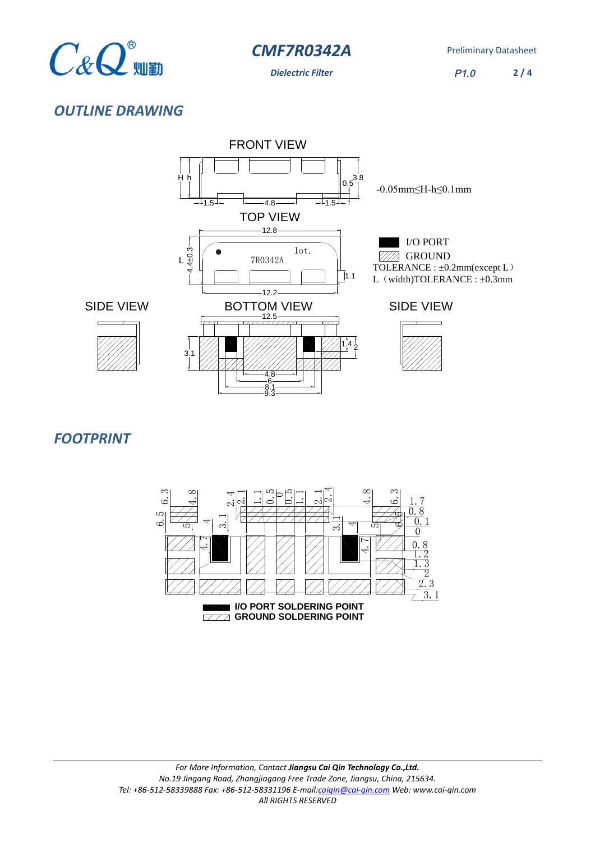

**Dielectric Filter** P1.0 **2 / 4**

## *OUTLINE DRAWING*



#### *FOOTPRINT*

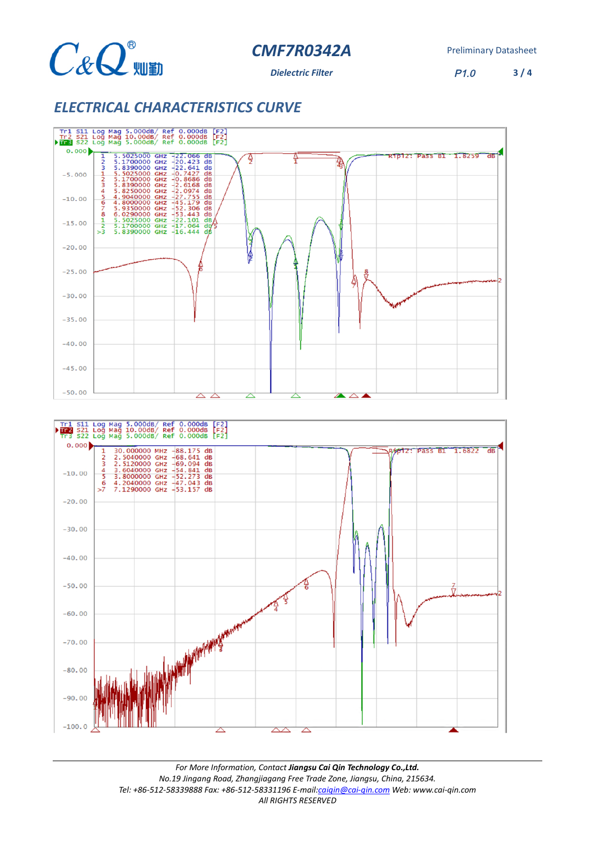

**Dielectric Filter** P1.0

**3 / 4**

### *ELECTRICAL CHARACTERISTICS CURVE*